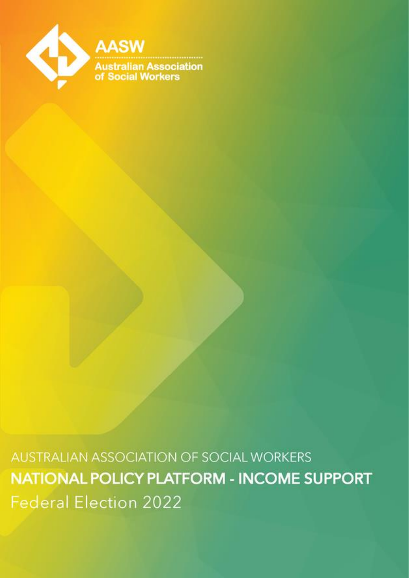

AUSTRALIAN ASSOCIATION OF SOCIAL WORKERS NATIONAL POLICY PLATFORM - INCOME SUPPORT **Federal Election 2022**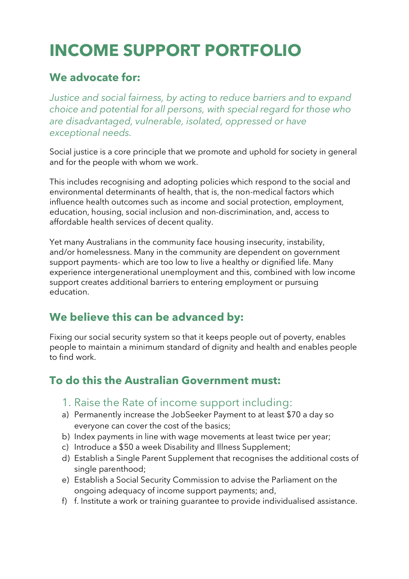# **INCOME SUPPORT PORTFOLIO**

#### **We advocate for:**

*Justice and social fairness, by acting to reduce barriers and to expand choice and potential for all persons, with special regard for those who are disadvantaged, vulnerable, isolated, oppressed or have exceptional needs.*

Social justice is a core principle that we promote and uphold for society in general and for the people with whom we work.

This includes recognising and adopting policies which respond to the social and environmental determinants of health, that is, the non-medical factors which influence health outcomes such as income and social protection, employment, education, housing, social inclusion and non-discrimination, and, access to affordable health services of decent quality.

Yet many Australians in the community face housing insecurity, instability, and/or homelessness. Many in the community are dependent on government support payments- which are too low to live a healthy or dignified life. Many experience intergenerational unemployment and this, combined with low income support creates additional barriers to entering employment or pursuing education.

### **We believe this can be advanced by:**

Fixing our social security system so that it keeps people out of poverty, enables people to maintain a minimum standard of dignity and health and enables people to find work.

#### **To do this the Australian Government must:**

- 1. Raise the Rate of income support including:
- a) Permanently increase the JobSeeker Payment to at least \$70 a day so everyone can cover the cost of the basics;
- b) Index payments in line with wage movements at least twice per year;
- c) Introduce a \$50 a week Disability and Illness Supplement;
- d) Establish a Single Parent Supplement that recognises the additional costs of single parenthood;
- e) Establish a Social Security Commission to advise the Parliament on the ongoing adequacy of income support payments; and,
- f) f. Institute a work or training guarantee to provide individualised assistance.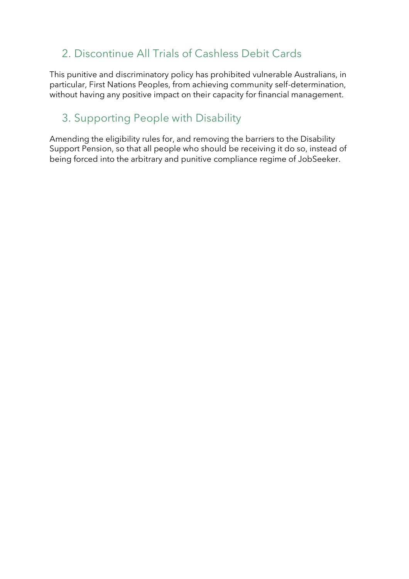## 2. Discontinue All Trials of Cashless Debit Cards

This punitive and discriminatory policy has prohibited vulnerable Australians, in particular, First Nations Peoples, from achieving community self-determination, without having any positive impact on their capacity for financial management.

## 3. Supporting People with Disability

Amending the eligibility rules for, and removing the barriers to the Disability Support Pension, so that all people who should be receiving it do so, instead of being forced into the arbitrary and punitive compliance regime of JobSeeker.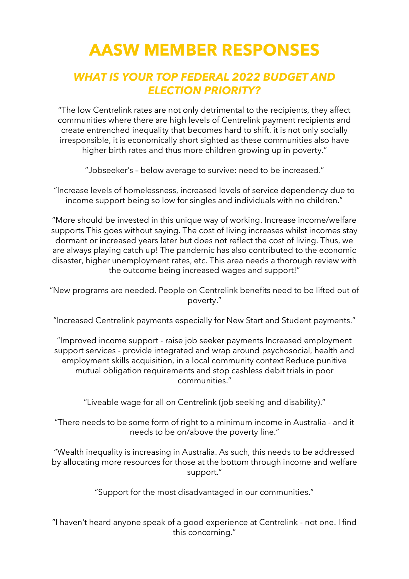# **AASW MEMBER RESPONSES**

### *WHAT IS YOUR TOP FEDERAL 2022 BUDGET AND ELECTION PRIORITY?*

"The low Centrelink rates are not only detrimental to the recipients, they affect communities where there are high levels of Centrelink payment recipients and create entrenched inequality that becomes hard to shift. it is not only socially irresponsible, it is economically short sighted as these communities also have higher birth rates and thus more children growing up in poverty."

"Jobseeker's – below average to survive: need to be increased."

"Increase levels of homelessness, increased levels of service dependency due to income support being so low for singles and individuals with no children."

"More should be invested in this unique way of working. Increase income/welfare supports This goes without saying. The cost of living increases whilst incomes stay dormant or increased years later but does not reflect the cost of living. Thus, we are always playing catch up! The pandemic has also contributed to the economic disaster, higher unemployment rates, etc. This area needs a thorough review with the outcome being increased wages and support!"

"New programs are needed. People on Centrelink benefits need to be lifted out of poverty."

"Increased Centrelink payments especially for New Start and Student payments."

"Improved income support - raise job seeker payments Increased employment support services - provide integrated and wrap around psychosocial, health and employment skills acquisition, in a local community context Reduce punitive mutual obligation requirements and stop cashless debit trials in poor communities."

"Liveable wage for all on Centrelink (job seeking and disability)."

"There needs to be some form of right to a minimum income in Australia - and it needs to be on/above the poverty line."

"Wealth inequality is increasing in Australia. As such, this needs to be addressed by allocating more resources for those at the bottom through income and welfare support."

"Support for the most disadvantaged in our communities."

"I haven't heard anyone speak of a good experience at Centrelink - not one. I find this concerning."